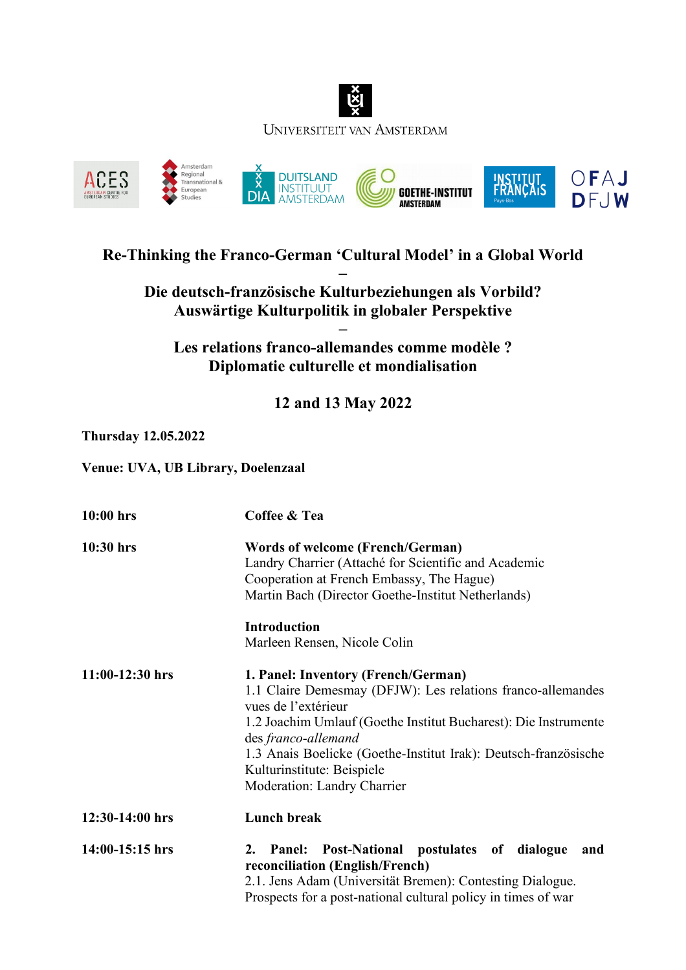



## **Re-Thinking the Franco-German 'Cultural Model' in a Global World**

**– Die deutsch-französische Kulturbeziehungen als Vorbild? Auswärtige Kulturpolitik in globaler Perspektive**

**– Les relations franco-allemandes comme modèle ? Diplomatie culturelle et mondialisation**

**12 and 13 May 2022**

## **Thursday 12.05.2022**

**Venue: UVA, UB Library, Doelenzaal**

| 10:00 hrs         | Coffee & Tea                                                                                                                                                                                                                                                                                                                                               |
|-------------------|------------------------------------------------------------------------------------------------------------------------------------------------------------------------------------------------------------------------------------------------------------------------------------------------------------------------------------------------------------|
| 10:30 hrs         | <b>Words of welcome (French/German)</b><br>Landry Charrier (Attaché for Scientific and Academic<br>Cooperation at French Embassy, The Hague)<br>Martin Bach (Director Goethe-Institut Netherlands)                                                                                                                                                         |
|                   | <b>Introduction</b><br>Marleen Rensen, Nicole Colin                                                                                                                                                                                                                                                                                                        |
| $11:00-12:30$ hrs | 1. Panel: Inventory (French/German)<br>1.1 Claire Demesmay (DFJW): Les relations franco-allemandes<br>vues de l'extérieur<br>1.2 Joachim Umlauf (Goethe Institut Bucharest): Die Instrumente<br>des franco-allemand<br>1.3 Anais Boelicke (Goethe-Institut Irak): Deutsch-französische<br>Kulturinstitute: Beispiele<br><b>Moderation: Landry Charrier</b> |
| 12:30-14:00 hrs   | <b>Lunch break</b>                                                                                                                                                                                                                                                                                                                                         |
| 14:00-15:15 hrs   | Post-National postulates of<br>dialogue<br>2.<br><b>Panel:</b><br>and<br>reconciliation (English/French)<br>2.1. Jens Adam (Universität Bremen): Contesting Dialogue.<br>Prospects for a post-national cultural policy in times of war                                                                                                                     |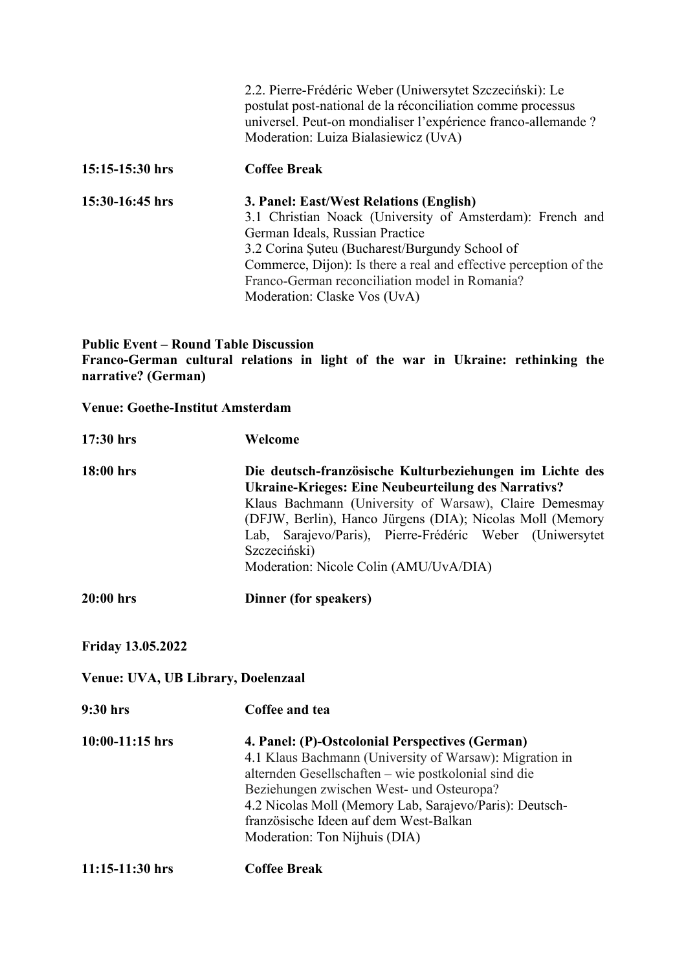|                   | 2.2. Pierre-Frédéric Weber (Uniwersytet Szczeciński): Le<br>postulat post-national de la réconciliation comme processus<br>universel. Peut-on mondialiser l'expérience franco-allemande ?<br>Moderation: Luiza Bialasiewicz (UvA)                                                                                                                |
|-------------------|--------------------------------------------------------------------------------------------------------------------------------------------------------------------------------------------------------------------------------------------------------------------------------------------------------------------------------------------------|
| $15:15-15:30$ hrs | <b>Coffee Break</b>                                                                                                                                                                                                                                                                                                                              |
| 15:30-16:45 hrs   | 3. Panel: East/West Relations (English)<br>3.1 Christian Noack (University of Amsterdam): French and<br>German Ideals, Russian Practice<br>3.2 Corina Suteu (Bucharest/Burgundy School of<br>Commerce, Dijon): Is there a real and effective perception of the<br>Franco-German reconciliation model in Romania?<br>Moderation: Claske Vos (UvA) |

## **Public Event – Round Table Discussion Franco-German cultural relations in light of the war in Ukraine: rethinking the narrative? (German)**

## **Venue: Goethe-Institut Amsterdam**

| 17:30 hrs                          | Welcome                                                                                                                                                                                                                                                                                                                                                      |
|------------------------------------|--------------------------------------------------------------------------------------------------------------------------------------------------------------------------------------------------------------------------------------------------------------------------------------------------------------------------------------------------------------|
| $18:00$ hrs                        | Die deutsch-französische Kulturbeziehungen im Lichte des<br>Ukraine-Krieges: Eine Neubeurteilung des Narrativs?<br>Klaus Bachmann (University of Warsaw), Claire Demesmay<br>(DFJW, Berlin), Hanco Jürgens (DIA); Nicolas Moll (Memory<br>Lab, Sarajevo/Paris), Pierre-Frédéric Weber (Uniwersytet<br>Szczeciński)<br>Moderation: Nicole Colin (AMU/UvA/DIA) |
| 20:00 hrs                          | Dinner (for speakers)                                                                                                                                                                                                                                                                                                                                        |
| <b>Friday 13.05.2022</b>           |                                                                                                                                                                                                                                                                                                                                                              |
| Venue: UVA, UB Library, Doelenzaal |                                                                                                                                                                                                                                                                                                                                                              |
| 9:30 hrs                           | Coffee and tea                                                                                                                                                                                                                                                                                                                                               |
| $10:00-11:15$ hrs                  | 4. Panel: (P)-Ostcolonial Perspectives (German)<br>4.1 Klaus Bachmann (University of Warsaw): Migration in<br>alternden Gesellschaften – wie postkolonial sind die<br>Beziehungen zwischen West- und Osteuropa?<br>4.2 Nicolas Moll (Memory Lab, Sarajevo/Paris): Deutsch-<br>französische Ideen auf dem West-Balkan<br>Moderation: Ton Nijhuis (DIA)        |
| 11:15-11:30 hrs                    | <b>Coffee Break</b>                                                                                                                                                                                                                                                                                                                                          |